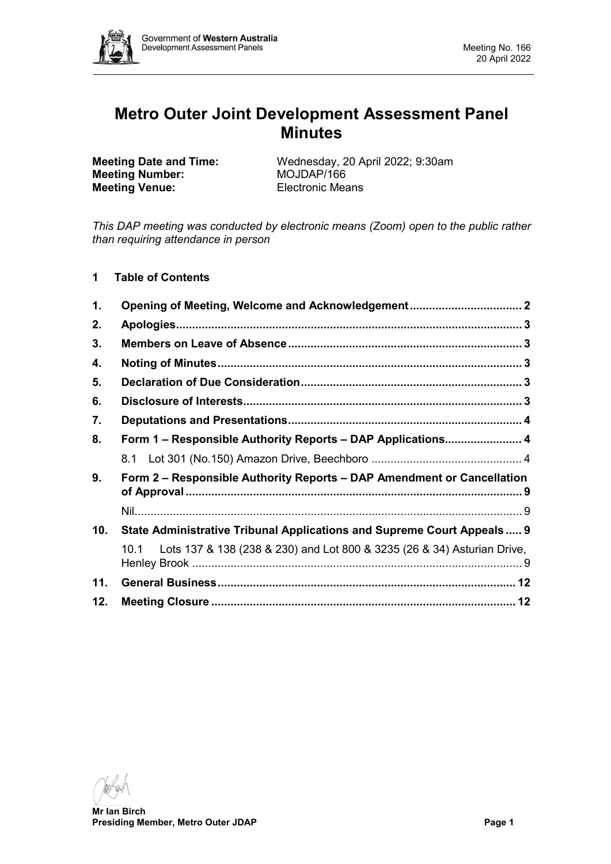

# **Metro Outer Joint Development Assessment Panel Minutes**

**Meeting Number: Meeting Venue:** Electronic Means

**Meeting Date and Time:** Wednesday, 20 April 2022; 9:30am<br> **MOJDAP/166** 

*This DAP meeting was conducted by electronic means (Zoom) open to the public rather than requiring attendance in person*

**1 Table of Contents**

| 1.  |                                                                                 |  |
|-----|---------------------------------------------------------------------------------|--|
| 2.  |                                                                                 |  |
| 3.  |                                                                                 |  |
| 4.  |                                                                                 |  |
| 5.  |                                                                                 |  |
| 6.  |                                                                                 |  |
| 7.  |                                                                                 |  |
| 8.  | Form 1 – Responsible Authority Reports – DAP Applications 4                     |  |
|     |                                                                                 |  |
| 9.  | Form 2 - Responsible Authority Reports - DAP Amendment or Cancellation          |  |
|     |                                                                                 |  |
| 10. | State Administrative Tribunal Applications and Supreme Court Appeals  9         |  |
|     | Lots 137 & 138 (238 & 230) and Lot 800 & 3235 (26 & 34) Asturian Drive,<br>10.1 |  |
| 11. |                                                                                 |  |
| 12. |                                                                                 |  |

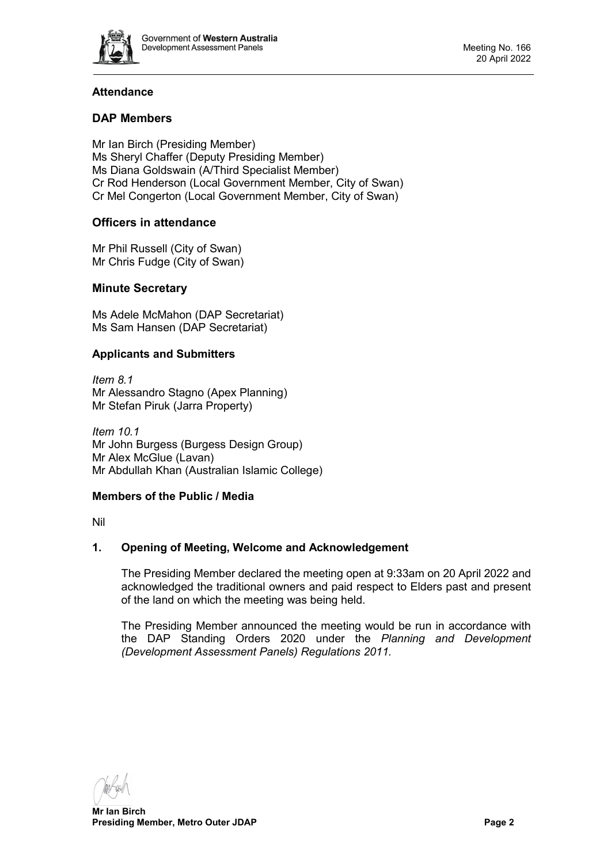

# **Attendance**

# **DAP Members**

Mr Ian Birch (Presiding Member) Ms Sheryl Chaffer (Deputy Presiding Member) Ms Diana Goldswain (A/Third Specialist Member) Cr Rod Henderson (Local Government Member, City of Swan) Cr Mel Congerton (Local Government Member, City of Swan)

# **Officers in attendance**

Mr Phil Russell (City of Swan) Mr Chris Fudge (City of Swan)

# **Minute Secretary**

Ms Adele McMahon (DAP Secretariat) Ms Sam Hansen (DAP Secretariat)

# **Applicants and Submitters**

*Item 8.1* Mr Alessandro Stagno (Apex Planning) Mr Stefan Piruk (Jarra Property)

*Item 10.1* Mr John Burgess (Burgess Design Group) Mr Alex McGlue (Lavan) Mr Abdullah Khan (Australian Islamic College)

# **Members of the Public / Media**

<span id="page-1-0"></span>Nil

# **1. Opening of Meeting, Welcome and Acknowledgement**

The Presiding Member declared the meeting open at 9:33am on 20 April 2022 and acknowledged the traditional owners and paid respect to Elders past and present of the land on which the meeting was being held.

The Presiding Member announced the meeting would be run in accordance with the DAP Standing Orders 2020 under the *Planning and Development (Development Assessment Panels) Regulations 2011.*

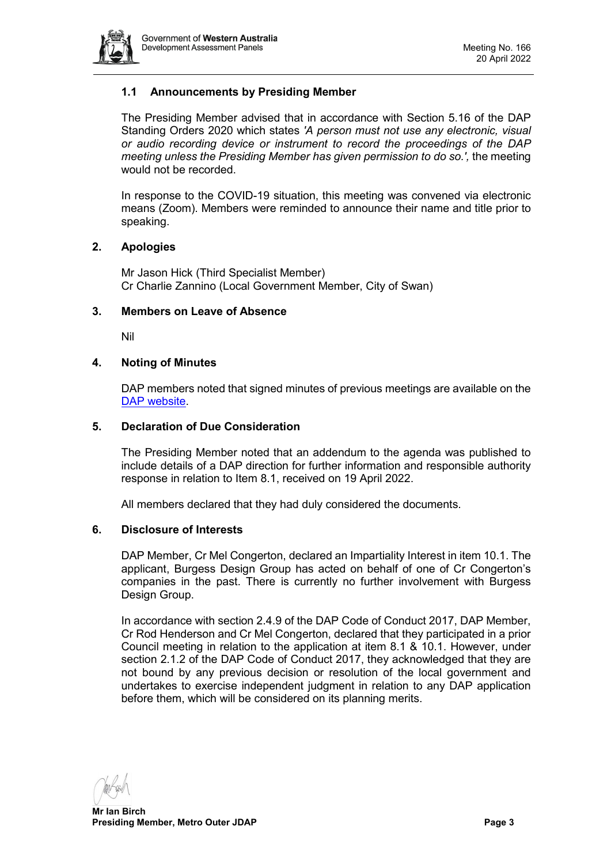

# **1.1 Announcements by Presiding Member**

The Presiding Member advised that in accordance with Section 5.16 of the DAP Standing Orders 2020 which states *'A person must not use any electronic, visual or audio recording device or instrument to record the proceedings of the DAP meeting unless the Presiding Member has given permission to do so.',* the meeting would not be recorded.

In response to the COVID-19 situation, this meeting was convened via electronic means (Zoom). Members were reminded to announce their name and title prior to speaking.

### <span id="page-2-0"></span>**2. Apologies**

Mr Jason Hick (Third Specialist Member) Cr Charlie Zannino (Local Government Member, City of Swan)

### <span id="page-2-1"></span>**3. Members on Leave of Absence**

Nil

### <span id="page-2-2"></span>**4. Noting of Minutes**

DAP members noted that signed minutes of previous meetings are available on the [DAP website.](https://www.dplh.wa.gov.au/about/development-assessment-panels/daps-agendas-and-minutes)

### <span id="page-2-3"></span>**5. Declaration of Due Consideration**

The Presiding Member noted that an addendum to the agenda was published to include details of a DAP direction for further information and responsible authority response in relation to Item 8.1, received on 19 April 2022.

All members declared that they had duly considered the documents.

#### <span id="page-2-4"></span>**6. Disclosure of Interests**

DAP Member, Cr Mel Congerton, declared an Impartiality Interest in item 10.1. The applicant, Burgess Design Group has acted on behalf of one of Cr Congerton's companies in the past. There is currently no further involvement with Burgess Design Group.

In accordance with section 2.4.9 of the DAP Code of Conduct 2017, DAP Member, Cr Rod Henderson and Cr Mel Congerton, declared that they participated in a prior Council meeting in relation to the application at item 8.1 & 10.1. However, under section 2.1.2 of the DAP Code of Conduct 2017, they acknowledged that they are not bound by any previous decision or resolution of the local government and undertakes to exercise independent judgment in relation to any DAP application before them, which will be considered on its planning merits.

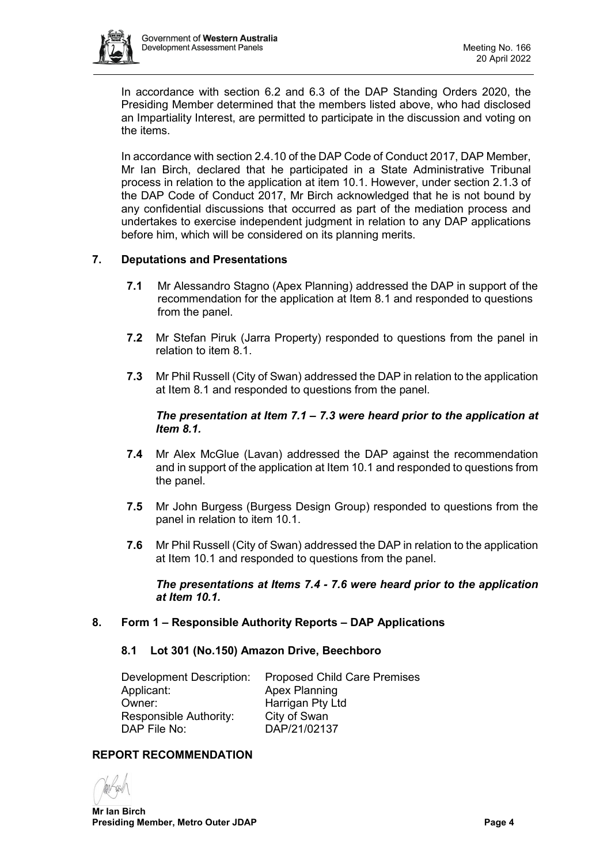

In accordance with section 6.2 and 6.3 of the DAP Standing Orders 2020, the Presiding Member determined that the members listed above, who had disclosed an Impartiality Interest, are permitted to participate in the discussion and voting on the items.

In accordance with section 2.4.10 of the DAP Code of Conduct 2017, DAP Member, Mr Ian Birch, declared that he participated in a State Administrative Tribunal process in relation to the application at item 10.1. However, under section 2.1.3 of the DAP Code of Conduct 2017, Mr Birch acknowledged that he is not bound by any confidential discussions that occurred as part of the mediation process and undertakes to exercise independent judgment in relation to any DAP applications before him, which will be considered on its planning merits.

# <span id="page-3-0"></span>**7. Deputations and Presentations**

- **7.1** Mr Alessandro Stagno (Apex Planning) addressed the DAP in support of the recommendation for the application at Item 8.1 and responded to questions from the panel.
- **7.2** Mr Stefan Piruk (Jarra Property) responded to questions from the panel in relation to item 8.1.
- **7.3** Mr Phil Russell (City of Swan) addressed the DAP in relation to the application at Item 8.1 and responded to questions from the panel.

# *The presentation at Item 7.1 – 7.3 were heard prior to the application at Item 8.1.*

- **7.4** Mr Alex McGlue (Lavan) addressed the DAP against the recommendation and in support of the application at Item 10.1 and responded to questions from the panel.
- **7.5** Mr John Burgess (Burgess Design Group) responded to questions from the panel in relation to item 10.1.
- **7.6** Mr Phil Russell (City of Swan) addressed the DAP in relation to the application at Item 10.1 and responded to questions from the panel.

*The presentations at Items 7.4 - 7.6 were heard prior to the application at Item 10.1.* 

# <span id="page-3-2"></span><span id="page-3-1"></span>**8. Form 1 – Responsible Authority Reports – DAP Applications**

#### **8.1 Lot 301 (No.150) Amazon Drive, Beechboro**

| Development Description: | <b>Proposed Child Care Premises</b> |
|--------------------------|-------------------------------------|
| Applicant:               | <b>Apex Planning</b>                |
| Owner:                   | Harrigan Pty Ltd                    |
| Responsible Authority:   | City of Swan                        |
| DAP File No:             | DAP/21/02137                        |

# **REPORT RECOMMENDATION**

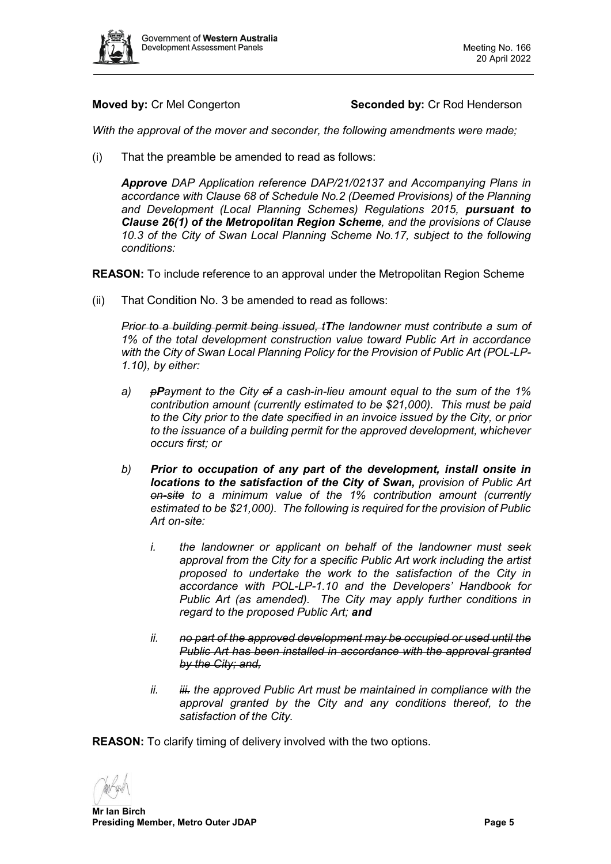

# **Moved by:** Cr Mel Congerton **Seconded by:** Cr Rod Henderson

*With the approval of the mover and seconder, the following amendments were made;*

(i) That the preamble be amended to read as follows:

*Approve DAP Application reference DAP/21/02137 and Accompanying Plans in accordance with Clause 68 of Schedule No.2 (Deemed Provisions) of the Planning and Development (Local Planning Schemes) Regulations 2015, pursuant to Clause 26(1) of the Metropolitan Region Scheme, and the provisions of Clause 10.3 of the City of Swan Local Planning Scheme No.17, subject to the following conditions:*

**REASON:** To include reference to an approval under the Metropolitan Region Scheme

(ii) That Condition No. 3 be amended to read as follows:

*Prior to a building permit being issued, tThe landowner must contribute a sum of 1% of the total development construction value toward Public Art in accordance with the City of Swan Local Planning Policy for the Provision of Public Art (POL-LP-1.10), by either:*

- *a) pPayment to the City of a cash-in-lieu amount equal to the sum of the 1% contribution amount (currently estimated to be \$21,000). This must be paid to the City prior to the date specified in an invoice issued by the City, or prior to the issuance of a building permit for the approved development, whichever occurs first; or*
- *b) Prior to occupation of any part of the development, install onsite in locations to the satisfaction of the City of Swan, provision of Public Art on-site to a minimum value of the 1% contribution amount (currently estimated to be \$21,000). The following is required for the provision of Public Art on-site:*
	- *i. the landowner or applicant on behalf of the landowner must seek approval from the City for a specific Public Art work including the artist proposed to undertake the work to the satisfaction of the City in accordance with POL-LP-1.10 and the Developers' Handbook for Public Art (as amended). The City may apply further conditions in regard to the proposed Public Art; and*
	- *ii. no part of the approved development may be occupied or used until the Public Art has been installed in accordance with the approval granted by the City; and,*
	- *ii. iii. the approved Public Art must be maintained in compliance with the approval granted by the City and any conditions thereof, to the satisfaction of the City.*

**REASON:** To clarify timing of delivery involved with the two options.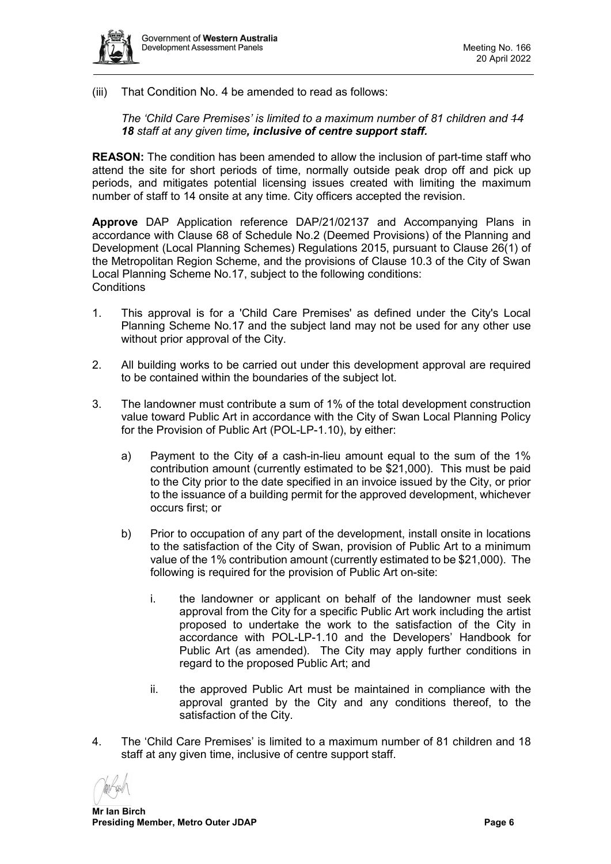

(iii) That Condition No. 4 be amended to read as follows:

*The 'Child Care Premises' is limited to a maximum number of 81 children and 14 18 staff at any given time, inclusive of centre support staff.*

**REASON:** The condition has been amended to allow the inclusion of part-time staff who attend the site for short periods of time, normally outside peak drop off and pick up periods, and mitigates potential licensing issues created with limiting the maximum number of staff to 14 onsite at any time. City officers accepted the revision.

**Approve** DAP Application reference DAP/21/02137 and Accompanying Plans in accordance with Clause 68 of Schedule No.2 (Deemed Provisions) of the Planning and Development (Local Planning Schemes) Regulations 2015, pursuant to Clause 26(1) of the Metropolitan Region Scheme, and the provisions of Clause 10.3 of the City of Swan Local Planning Scheme No.17, subject to the following conditions: **Conditions** 

- 1. This approval is for a 'Child Care Premises' as defined under the City's Local Planning Scheme No.17 and the subject land may not be used for any other use without prior approval of the City.
- 2. All building works to be carried out under this development approval are required to be contained within the boundaries of the subject lot.
- 3. The landowner must contribute a sum of 1% of the total development construction value toward Public Art in accordance with the City of Swan Local Planning Policy for the Provision of Public Art (POL-LP-1.10), by either:
	- a) Payment to the City of a cash-in-lieu amount equal to the sum of the 1% contribution amount (currently estimated to be \$21,000). This must be paid to the City prior to the date specified in an invoice issued by the City, or prior to the issuance of a building permit for the approved development, whichever occurs first; or
	- b) Prior to occupation of any part of the development, install onsite in locations to the satisfaction of the City of Swan, provision of Public Art to a minimum value of the 1% contribution amount (currently estimated to be \$21,000). The following is required for the provision of Public Art on-site:
		- i. the landowner or applicant on behalf of the landowner must seek approval from the City for a specific Public Art work including the artist proposed to undertake the work to the satisfaction of the City in accordance with POL-LP-1.10 and the Developers' Handbook for Public Art (as amended). The City may apply further conditions in regard to the proposed Public Art; and
		- ii. the approved Public Art must be maintained in compliance with the approval granted by the City and any conditions thereof, to the satisfaction of the City.
- 4. The 'Child Care Premises' is limited to a maximum number of 81 children and 18 staff at any given time, inclusive of centre support staff.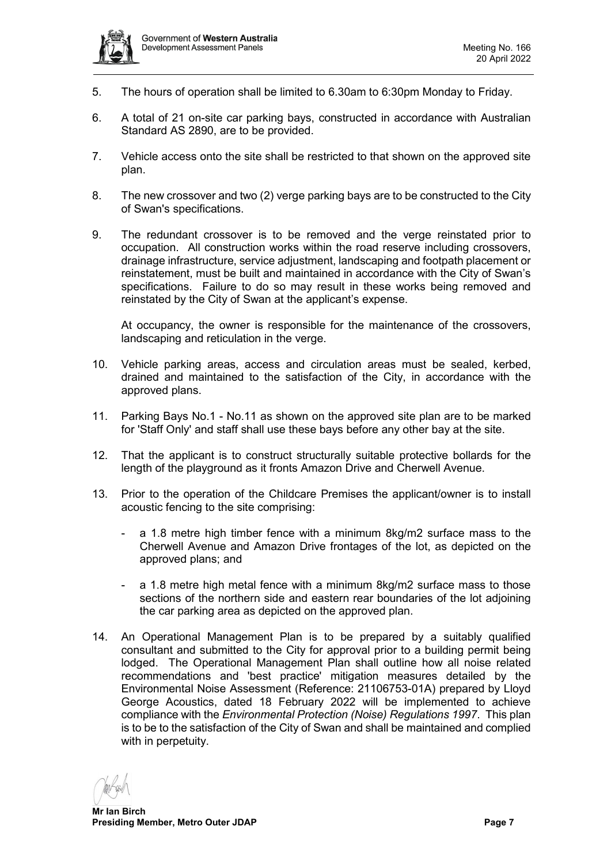

- 5. The hours of operation shall be limited to 6.30am to 6:30pm Monday to Friday.
- 6. A total of 21 on-site car parking bays, constructed in accordance with Australian Standard AS 2890, are to be provided.
- 7. Vehicle access onto the site shall be restricted to that shown on the approved site plan.
- 8. The new crossover and two (2) verge parking bays are to be constructed to the City of Swan's specifications.
- 9. The redundant crossover is to be removed and the verge reinstated prior to occupation. All construction works within the road reserve including crossovers, drainage infrastructure, service adjustment, landscaping and footpath placement or reinstatement, must be built and maintained in accordance with the City of Swan's specifications. Failure to do so may result in these works being removed and reinstated by the City of Swan at the applicant's expense.

At occupancy, the owner is responsible for the maintenance of the crossovers, landscaping and reticulation in the verge.

- 10. Vehicle parking areas, access and circulation areas must be sealed, kerbed, drained and maintained to the satisfaction of the City, in accordance with the approved plans.
- 11. Parking Bays No.1 No.11 as shown on the approved site plan are to be marked for 'Staff Only' and staff shall use these bays before any other bay at the site.
- 12. That the applicant is to construct structurally suitable protective bollards for the length of the playground as it fronts Amazon Drive and Cherwell Avenue.
- 13. Prior to the operation of the Childcare Premises the applicant/owner is to install acoustic fencing to the site comprising:
	- a 1.8 metre high timber fence with a minimum 8kg/m2 surface mass to the Cherwell Avenue and Amazon Drive frontages of the lot, as depicted on the approved plans; and
	- a 1.8 metre high metal fence with a minimum 8kg/m2 surface mass to those sections of the northern side and eastern rear boundaries of the lot adjoining the car parking area as depicted on the approved plan.
- 14. An Operational Management Plan is to be prepared by a suitably qualified consultant and submitted to the City for approval prior to a building permit being lodged. The Operational Management Plan shall outline how all noise related recommendations and 'best practice' mitigation measures detailed by the Environmental Noise Assessment (Reference: 21106753-01A) prepared by Lloyd George Acoustics, dated 18 February 2022 will be implemented to achieve compliance with the *Environmental Protection (Noise) Regulations 1997*. This plan is to be to the satisfaction of the City of Swan and shall be maintained and complied with in perpetuity.

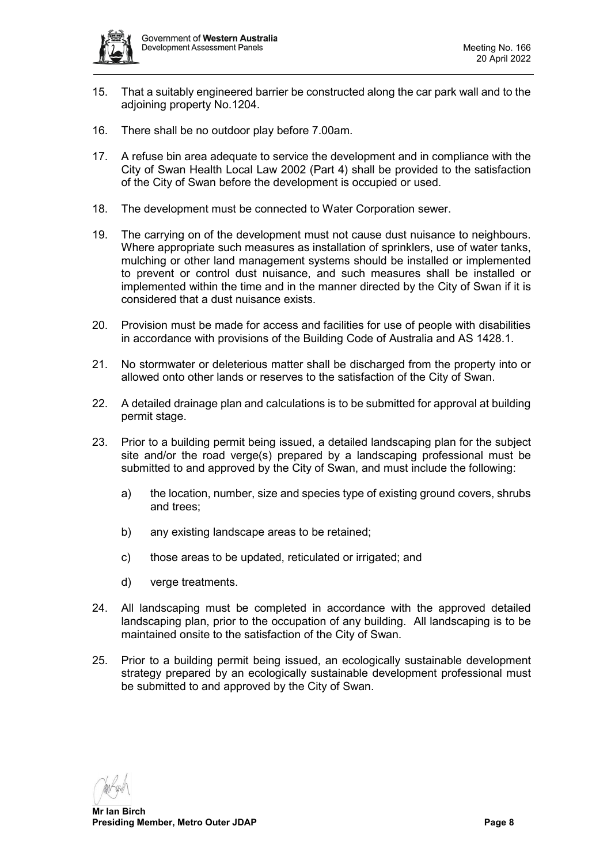

- 15. That a suitably engineered barrier be constructed along the car park wall and to the adjoining property No.1204.
- 16. There shall be no outdoor play before 7.00am.
- 17. A refuse bin area adequate to service the development and in compliance with the City of Swan Health Local Law 2002 (Part 4) shall be provided to the satisfaction of the City of Swan before the development is occupied or used.
- 18. The development must be connected to Water Corporation sewer.
- 19. The carrying on of the development must not cause dust nuisance to neighbours. Where appropriate such measures as installation of sprinklers, use of water tanks, mulching or other land management systems should be installed or implemented to prevent or control dust nuisance, and such measures shall be installed or implemented within the time and in the manner directed by the City of Swan if it is considered that a dust nuisance exists.
- 20. Provision must be made for access and facilities for use of people with disabilities in accordance with provisions of the Building Code of Australia and AS 1428.1.
- 21. No stormwater or deleterious matter shall be discharged from the property into or allowed onto other lands or reserves to the satisfaction of the City of Swan.
- 22. A detailed drainage plan and calculations is to be submitted for approval at building permit stage.
- 23. Prior to a building permit being issued, a detailed landscaping plan for the subject site and/or the road verge(s) prepared by a landscaping professional must be submitted to and approved by the City of Swan, and must include the following:
	- a) the location, number, size and species type of existing ground covers, shrubs and trees;
	- b) any existing landscape areas to be retained;
	- c) those areas to be updated, reticulated or irrigated; and
	- d) verge treatments.
- 24. All landscaping must be completed in accordance with the approved detailed landscaping plan, prior to the occupation of any building. All landscaping is to be maintained onsite to the satisfaction of the City of Swan.
- 25. Prior to a building permit being issued, an ecologically sustainable development strategy prepared by an ecologically sustainable development professional must be submitted to and approved by the City of Swan.

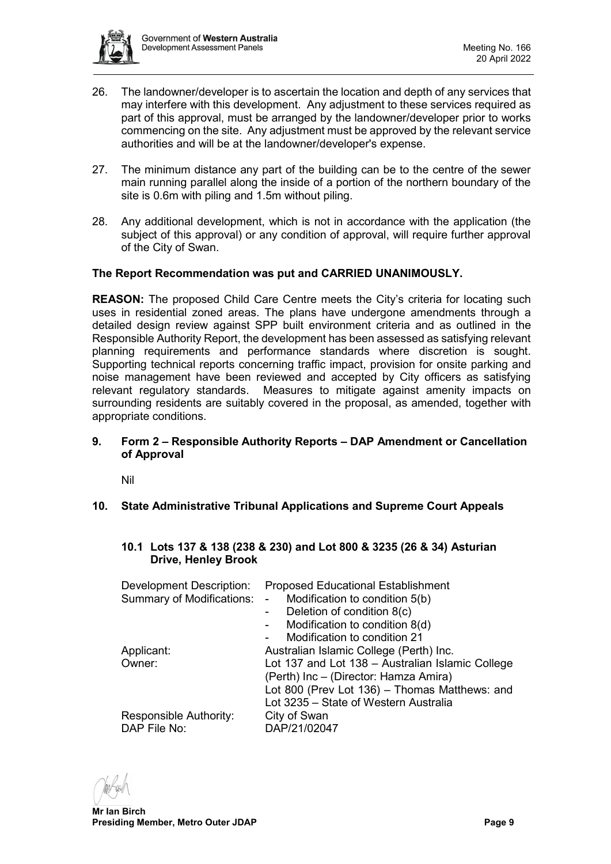

- 26. The landowner/developer is to ascertain the location and depth of any services that may interfere with this development. Any adjustment to these services required as part of this approval, must be arranged by the landowner/developer prior to works commencing on the site. Any adjustment must be approved by the relevant service authorities and will be at the landowner/developer's expense.
- 27. The minimum distance any part of the building can be to the centre of the sewer main running parallel along the inside of a portion of the northern boundary of the site is 0.6m with piling and 1.5m without piling.
- 28. Any additional development, which is not in accordance with the application (the subject of this approval) or any condition of approval, will require further approval of the City of Swan.

# **The Report Recommendation was put and CARRIED UNANIMOUSLY.**

**REASON:** The proposed Child Care Centre meets the City's criteria for locating such uses in residential zoned areas. The plans have undergone amendments through a detailed design review against SPP built environment criteria and as outlined in the Responsible Authority Report, the development has been assessed as satisfying relevant planning requirements and performance standards where discretion is sought. Supporting technical reports concerning traffic impact, provision for onsite parking and noise management have been reviewed and accepted by City officers as satisfying relevant regulatory standards. Measures to mitigate against amenity impacts on surrounding residents are suitably covered in the proposal, as amended, together with appropriate conditions.

# <span id="page-8-0"></span>**9. Form 2 – Responsible Authority Reports – DAP Amendment or Cancellation of Approval**

Nil

<span id="page-8-2"></span><span id="page-8-1"></span>**10. State Administrative Tribunal Applications and Supreme Court Appeals**

# <span id="page-8-3"></span>**10.1 Lots 137 & 138 (238 & 230) and Lot 800 & 3235 (26 & 34) Asturian Drive, Henley Brook**

| <b>Development Description:</b><br><b>Summary of Modifications:</b> | <b>Proposed Educational Establishment</b><br>Modification to condition 5(b)<br>$\blacksquare$<br>Deletion of condition 8(c)<br>$\sim 100$<br>Modification to condition 8(d)<br>$\sim$ 10 $\pm$<br>Modification to condition 21 |
|---------------------------------------------------------------------|--------------------------------------------------------------------------------------------------------------------------------------------------------------------------------------------------------------------------------|
| Applicant:<br>Owner:                                                | Australian Islamic College (Perth) Inc.<br>Lot 137 and Lot 138 - Australian Islamic College<br>(Perth) Inc - (Director: Hamza Amira)<br>Lot 800 (Prev Lot 136) - Thomas Matthews: and<br>Lot 3235 - State of Western Australia |
| Responsible Authority:<br>DAP File No:                              | City of Swan<br>DAP/21/02047                                                                                                                                                                                                   |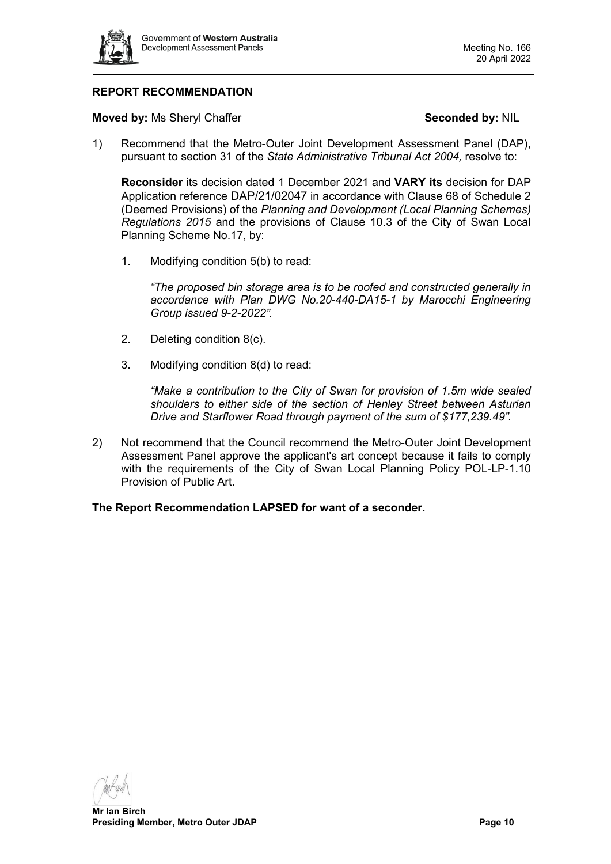

# **REPORT RECOMMENDATION**

**Moved by:** Ms Sheryl Chaffer **Seconded by:** NIL

1) Recommend that the Metro-Outer Joint Development Assessment Panel (DAP), pursuant to section 31 of the *State Administrative Tribunal Act 2004,* resolve to:

**Reconsider** its decision dated 1 December 2021 and **VARY its** decision for DAP Application reference DAP/21/02047 in accordance with Clause 68 of Schedule 2 (Deemed Provisions) of the *Planning and Development (Local Planning Schemes) Regulations 2015* and the provisions of Clause 10.3 of the City of Swan Local Planning Scheme No.17, by:

1. Modifying condition 5(b) to read:

*"The proposed bin storage area is to be roofed and constructed generally in accordance with Plan DWG No.20-440-DA15-1 by Marocchi Engineering Group issued 9-2-2022".*

- 2. Deleting condition 8(c).
- 3. Modifying condition 8(d) to read:

*"Make a contribution to the City of Swan for provision of 1.5m wide sealed shoulders to either side of the section of Henley Street between Asturian Drive and Starflower Road through payment of the sum of \$177,239.49".*

2) Not recommend that the Council recommend the Metro-Outer Joint Development Assessment Panel approve the applicant's art concept because it fails to comply with the requirements of the City of Swan Local Planning Policy POL-LP-1.10 Provision of Public Art.

**The Report Recommendation LAPSED for want of a seconder.**

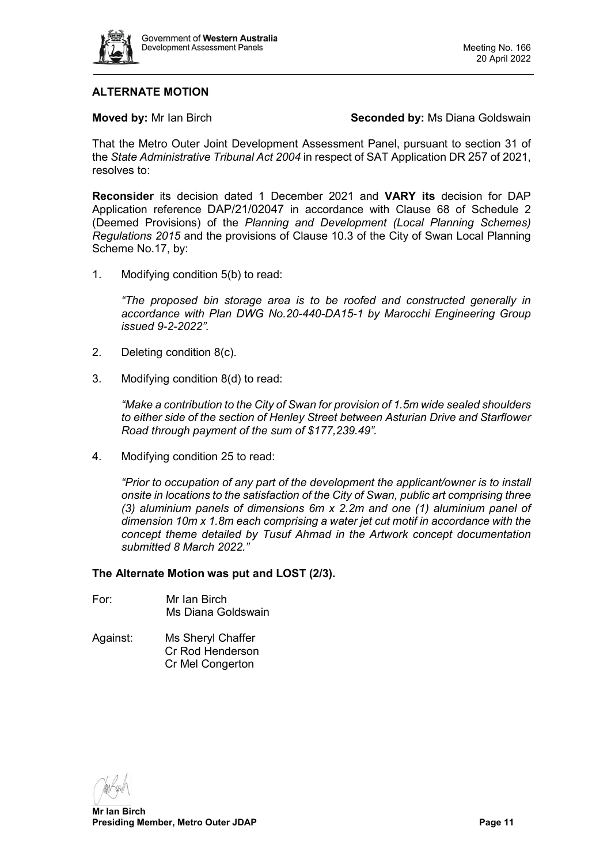

# **ALTERNATE MOTION**

**Moved by:** Mr Ian Birch **Seconded by:** Ms Diana Goldswain

That the Metro Outer Joint Development Assessment Panel, pursuant to section 31 of the *State Administrative Tribunal Act 2004* in respect of SAT Application DR 257 of 2021, resolves to:

**Reconsider** its decision dated 1 December 2021 and **VARY its** decision for DAP Application reference DAP/21/02047 in accordance with Clause 68 of Schedule 2 (Deemed Provisions) of the *Planning and Development (Local Planning Schemes) Regulations 2015* and the provisions of Clause 10.3 of the City of Swan Local Planning Scheme No.17, by:

1. Modifying condition 5(b) to read:

*"The proposed bin storage area is to be roofed and constructed generally in accordance with Plan DWG No.20-440-DA15-1 by Marocchi Engineering Group issued 9-2-2022".*

- 2. Deleting condition 8(c).
- 3. Modifying condition 8(d) to read:

*"Make a contribution to the City of Swan for provision of 1.5m wide sealed shoulders to either side of the section of Henley Street between Asturian Drive and Starflower Road through payment of the sum of \$177,239.49".*

4. Modifying condition 25 to read:

*"Prior to occupation of any part of the development the applicant/owner is to install onsite in locations to the satisfaction of the City of Swan, public art comprising three (3) aluminium panels of dimensions 6m x 2.2m and one (1) aluminium panel of dimension 10m x 1.8m each comprising a water jet cut motif in accordance with the concept theme detailed by Tusuf Ahmad in the Artwork concept documentation submitted 8 March 2022."* 

#### **The Alternate Motion was put and LOST (2/3).**

- For: Mr Ian Birch Ms Diana Goldswain
- Against: Ms Sheryl Chaffer Cr Rod Henderson Cr Mel Congerton